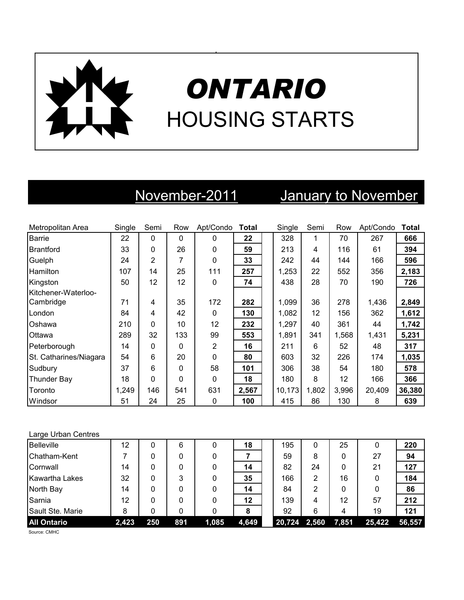

# *ONTARIO* HOUSING STARTS

# November-2011 January to November

| Metropolitan Area      | Single | Semi         | Row          | Apt/Condo    | <b>Total</b> | Single | Semi  | Row   | Apt/Condo | <b>Total</b> |
|------------------------|--------|--------------|--------------|--------------|--------------|--------|-------|-------|-----------|--------------|
| <b>Barrie</b>          | 22     | $\mathbf{0}$ | $\mathbf{0}$ | $\mathbf{0}$ | 22           | 328    | 1     | 70    | 267       | 666          |
| <b>Brantford</b>       | 33     | 0            | 26           | $\Omega$     | 59           | 213    | 4     | 116   | 61        | 394          |
| Guelph                 | 24     | 2            | 7            | $\Omega$     | 33           | 242    | 44    | 144   | 166       | 596          |
| <b>Hamilton</b>        | 107    | 14           | 25           | 111          | 257          | 1,253  | 22    | 552   | 356       | 2,183        |
| Kingston               | 50     | 12           | 12           | $\mathbf{0}$ | 74           | 438    | 28    | 70    | 190       | 726          |
| Kitchener-Waterloo-    |        |              |              |              |              |        |       |       |           |              |
| Cambridge              | 71     | 4            | 35           | 172          | 282          | 1,099  | 36    | 278   | 1,436     | 2,849        |
| London                 | 84     | 4            | 42           | $\Omega$     | 130          | 1,082  | 12    | 156   | 362       | 1,612        |
| Oshawa                 | 210    | 0            | 10           | 12           | 232          | 1,297  | 40    | 361   | 44        | 1,742        |
| Ottawa                 | 289    | 32           | 133          | 99           | 553          | 1,891  | 341   | 1,568 | 1,431     | 5,231        |
| Peterborough           | 14     | 0            | 0            | 2            | 16           | 211    | 6     | 52    | 48        | 317          |
| St. Catharines/Niagara | 54     | 6            | 20           | $\Omega$     | 80           | 603    | 32    | 226   | 174       | 1,035        |
| Sudbury                | 37     | 6            | 0            | 58           | 101          | 306    | 38    | 54    | 180       | 578          |
| <b>Thunder Bay</b>     | 18     | 0            | 0            | $\mathbf{0}$ | 18           | 180    | 8     | 12    | 166       | 366          |
| Toronto                | 1,249  | 146          | 541          | 631          | 2,567        | 10,173 | 1,802 | 3,996 | 20,409    | 36,380       |
| Windsor                | 51     | 24           | 25           | 0            | 100          | 415    | 86    | 130   | 8         | 639          |

### Large Urban Centres

| Belleville            | 12    | 0   | 6   |       | 18    | 195    | 0     | 25    | 0      | 220    |
|-----------------------|-------|-----|-----|-------|-------|--------|-------|-------|--------|--------|
| Chatham-Kent          |       | 0   |     |       |       | 59     | 8     | 0     | 27     | 94     |
| Cornwall              | 14    | 0   |     |       | 14    | 82     | 24    | 0     | 21     | 127    |
| <b>Kawartha Lakes</b> | 32    | 0   | 3   |       | 35    | 166    | 2     | 16    | 0      | 184    |
| North Bay             | 14    | 0   |     |       | 14    | 84     | 2     | 0     | 0      | 86     |
| Sarnia                | 12    | 0   |     |       | 12    | 139    | 4     | 12    | 57     | 212    |
| Sault Ste. Marie      | 8     | 0   |     |       |       | 92     | 6     | 4     | 19     | 121    |
| <b>All Ontario</b>    | 2,423 | 250 | 891 | 1,085 | 4,649 | 20,724 | 2,560 | 7,851 | 25,422 | 56,557 |

Source: CMHC